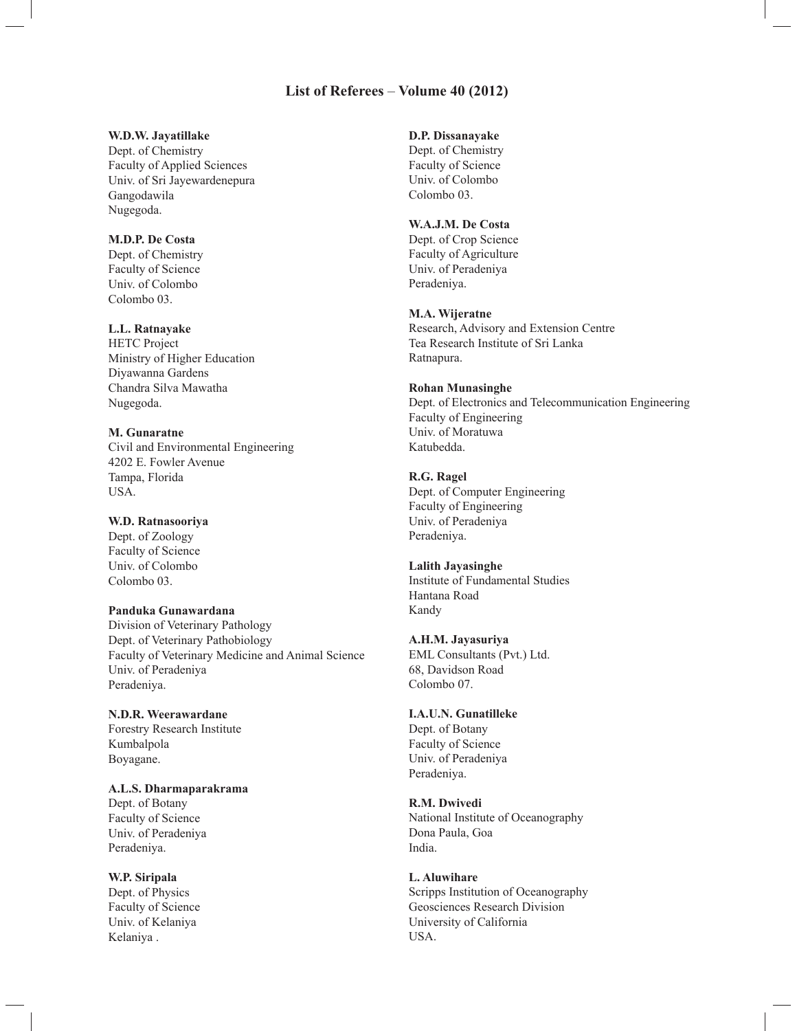## **List of Referees** – **Volume 40 (2012)**

### **W.D.W. Jayatillake**

Dept. of Chemistry Faculty of Applied Sciences Univ. of Sri Jayewardenepura Gangodawila Nugegoda.

### **M.D.P. De Costa**

Dept. of Chemistry Faculty of Science Univ. of Colombo Colombo 03.

## **L.L. Ratnayake**

HETC Project Ministry of Higher Education Diyawanna Gardens Chandra Silva Mawatha Nugegoda.

**M. Gunaratne** Civil and Environmental Engineering 4202 E. Fowler Avenue Tampa, Florida USA.

### **W.D. Ratnasooriya**

Dept. of Zoology Faculty of Science Univ. of Colombo Colombo 03.

**Panduka Gunawardana**

Division of Veterinary Pathology Dept. of Veterinary Pathobiology Faculty of Veterinary Medicine and Animal Science Univ. of Peradeniya Peradeniya.

**N.D.R. Weerawardane** Forestry Research Institute Kumbalpola Boyagane.

**A.L.S. Dharmaparakrama** Dept. of Botany Faculty of Science Univ. of Peradeniya Peradeniya.

**W.P. Siripala** Dept. of Physics Faculty of Science Univ. of Kelaniya Kelaniya .

# **D.P. Dissanayake**

Dept. of Chemistry Faculty of Science Univ. of Colombo Colombo 03.

# **W.A.J.M. De Costa**

Dept. of Crop Science Faculty of Agriculture Univ. of Peradeniya Peradeniya.

#### **M.A. Wijeratne**

Research, Advisory and Extension Centre Tea Research Institute of Sri Lanka Ratnapura.

## **Rohan Munasinghe**

Dept. of Electronics and Telecommunication Engineering Faculty of Engineering Univ. of Moratuwa Katubedda.

## **R.G. Ragel**

Dept. of Computer Engineering Faculty of Engineering Univ. of Peradeniya Peradeniya.

## **Lalith Jayasinghe**

Institute of Fundamental Studies Hantana Road Kandy

#### **A.H.M. Jayasuriya**

EML Consultants (Pvt.) Ltd. 68, Davidson Road Colombo 07.

#### **I.A.U.N. Gunatilleke**

Dept. of Botany Faculty of Science Univ. of Peradeniya Peradeniya.

#### **R.M. Dwivedi**

National Institute of Oceanography Dona Paula, Goa India.

### **L. Aluwihare**

Scripps Institution of Oceanography Geosciences Research Division University of California USA.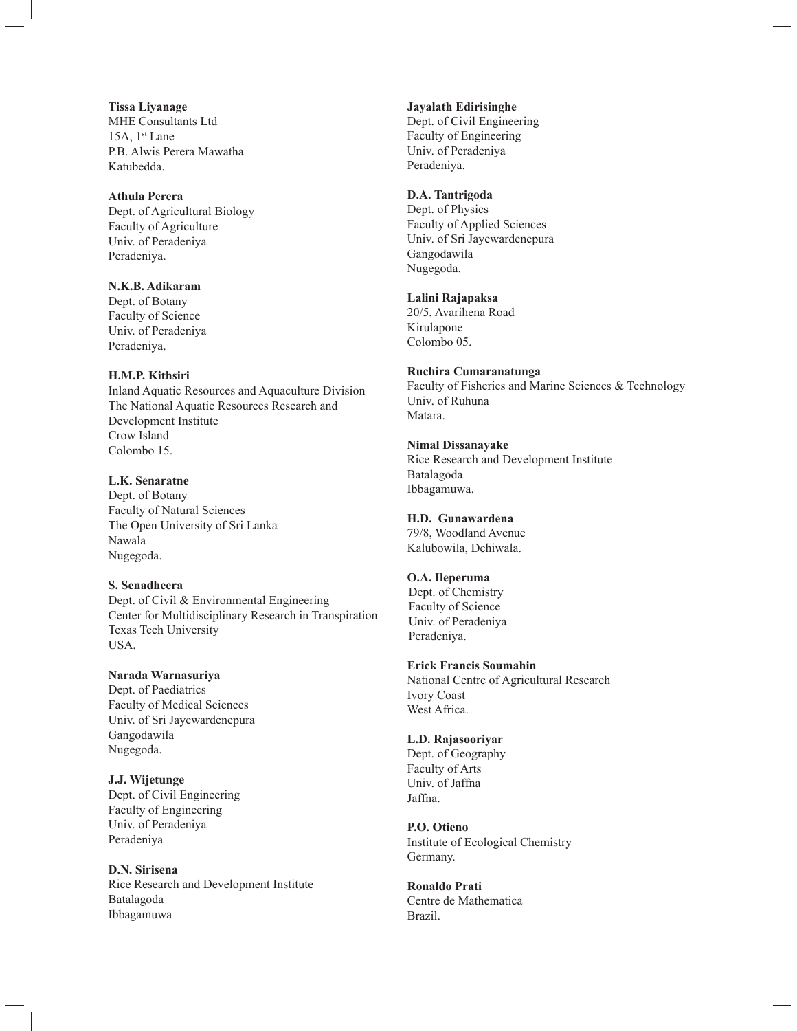**Tissa Liyanage** MHE Consultants Ltd 15A,  $1<sup>st</sup>$  Lane P.B. Alwis Perera Mawatha Katubedda.

**Athula Perera** Dept. of Agricultural Biology Faculty of Agriculture Univ. of Peradeniya

**N.K.B. Adikaram** Dept. of Botany Faculty of Science Univ. of Peradeniya Peradeniya.

Peradeniya.

#### **H.M.P. Kithsiri**

Inland Aquatic Resources and Aquaculture Division The National Aquatic Resources Research and Development Institute Crow Island Colombo 15.

**L.K. Senaratne**

Dept. of Botany Faculty of Natural Sciences The Open University of Sri Lanka Nawala Nugegoda.

**S. Senadheera**

Dept. of Civil & Environmental Engineering Center for Multidisciplinary Research in Transpiration Texas Tech University USA.

**Narada Warnasuriya**

Dept. of Paediatrics Faculty of Medical Sciences Univ. of Sri Jayewardenepura Gangodawila Nugegoda.

**J.J. Wijetunge** Dept. of Civil Engineering Faculty of Engineering Univ. of Peradeniya Peradeniya

**D.N. Sirisena** Rice Research and Development Institute Batalagoda Ibbagamuwa

**Jayalath Edirisinghe**

Dept. of Civil Engineering Faculty of Engineering Univ. of Peradeniya Peradeniya.

# **D.A. Tantrigoda**

Dept. of Physics Faculty of Applied Sciences Univ. of Sri Jayewardenepura Gangodawila Nugegoda.

**Lalini Rajapaksa**

20/5, Avarihena Road Kirulapone Colombo 05.

# **Ruchira Cumaranatunga**

Faculty of Fisheries and Marine Sciences & Technology Univ. of Ruhuna Matara.

**Nimal Dissanayake** Rice Research and Development Institute Batalagoda Ibbagamuwa.

**H.D. Gunawardena** 79/8, Woodland Avenue Kalubowila, Dehiwala.

## **O.A. Ileperuma**

 Dept. of Chemistry Faculty of Science Univ. of Peradeniya Peradeniya.

**Erick Francis Soumahin** National Centre of Agricultural Research Ivory Coast West Africa.

## **L.D. Rajasooriyar**

Dept. of Geography Faculty of Arts Univ. of Jaffna Jaffna.

**P.O. Otieno** Institute of Ecological Chemistry Germany.

**Ronaldo Prati** Centre de Mathematica Brazil.